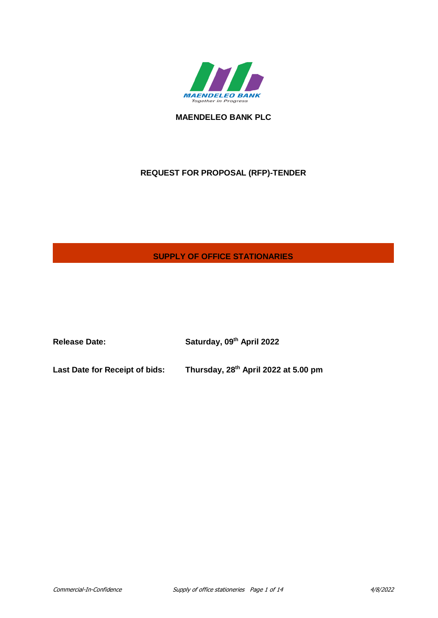

**MAENDELEO BANK PLC**

# **REQUEST FOR PROPOSAL (RFP)-TENDER**

# **SUPPLY OF OFFICE STATIONARIES**

**Release Date: Saturday, 09th April 2022 Last Date for Receipt of bids: Thursday, 28th April 2022 at 5.00 pm**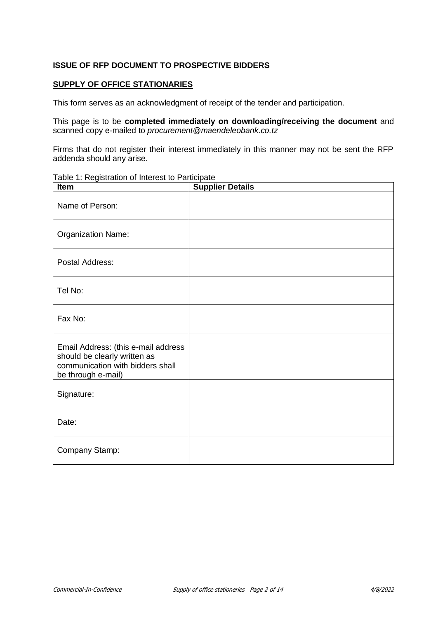### **ISSUE OF RFP DOCUMENT TO PROSPECTIVE BIDDERS**

### **SUPPLY OF OFFICE STATIONARIES**

This form serves as an acknowledgment of receipt of the tender and participation.

This page is to be **completed immediately on downloading/receiving the document** and scanned copy e-mailed to *procurement@maendeleobank.co.tz*

Firms that do not register their interest immediately in this manner may not be sent the RFP addenda should any arise.

Table 1: Registration of Interest to Participate

| <b>Item</b>                                                                                                                   | <b>Supplier Details</b> |
|-------------------------------------------------------------------------------------------------------------------------------|-------------------------|
| Name of Person:                                                                                                               |                         |
| <b>Organization Name:</b>                                                                                                     |                         |
| Postal Address:                                                                                                               |                         |
| Tel No:                                                                                                                       |                         |
| Fax No:                                                                                                                       |                         |
| Email Address: (this e-mail address<br>should be clearly written as<br>communication with bidders shall<br>be through e-mail) |                         |
| Signature:                                                                                                                    |                         |
| Date:                                                                                                                         |                         |
| Company Stamp:                                                                                                                |                         |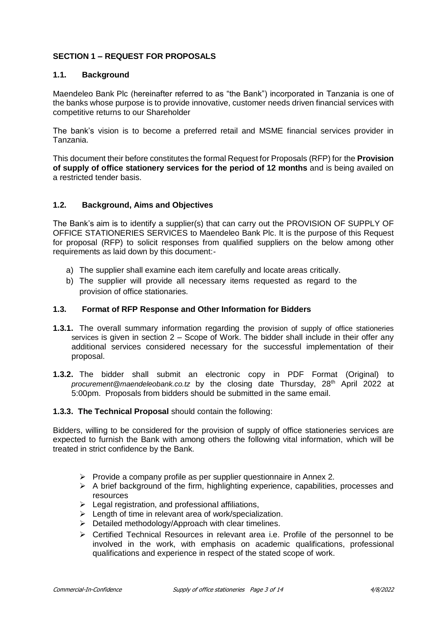## **SECTION 1 – REQUEST FOR PROPOSALS**

### **1.1. Background**

Maendeleo Bank Plc (hereinafter referred to as "the Bank") incorporated in Tanzania is one of the banks whose purpose is to provide innovative, customer needs driven financial services with competitive returns to our Shareholder

The bank's vision is to become a preferred retail and MSME financial services provider in Tanzania.

This document their before constitutes the formal Request for Proposals (RFP) for the **Provision of supply of office stationery services for the period of 12 months** and is being availed on a restricted tender basis.

### **1.2. Background, Aims and Objectives**

The Bank's aim is to identify a supplier(s) that can carry out the PROVISION OF SUPPLY OF OFFICE STATIONERIES SERVICES to Maendeleo Bank Plc. It is the purpose of this Request for proposal (RFP) to solicit responses from qualified suppliers on the below among other requirements as laid down by this document:-

- a) The supplier shall examine each item carefully and locate areas critically.
- b) The supplier will provide all necessary items requested as regard to the provision of office stationaries.

### **1.3. Format of RFP Response and Other Information for Bidders**

- **1.3.1.** The overall summary information regarding the provision of supply of office stationeries services is given in section 2 – Scope of Work. The bidder shall include in their offer any additional services considered necessary for the successful implementation of their proposal.
- **1.3.2.** The bidder shall submit an electronic copy in PDF Format (Original) to *procurement@maendeleobank.co.tz* by the closing date Thursday, 28<sup>th</sup> April 2022 at 5:00pm. Proposals from bidders should be submitted in the same email.

#### **1.3.3. The Technical Proposal** should contain the following:

Bidders, willing to be considered for the provision of supply of office stationeries services are expected to furnish the Bank with among others the following vital information, which will be treated in strict confidence by the Bank.

- $\triangleright$  Provide a company profile as per supplier questionnaire in Annex 2.
- $\triangleright$  A brief background of the firm, highlighting experience, capabilities, processes and resources
- $\blacktriangleright$  Legal registration, and professional affiliations,
- $\triangleright$  Length of time in relevant area of work/specialization.
- $\triangleright$  Detailed methodology/Approach with clear timelines.
- Certified Technical Resources in relevant area i.e. Profile of the personnel to be involved in the work, with emphasis on academic qualifications, professional qualifications and experience in respect of the stated scope of work.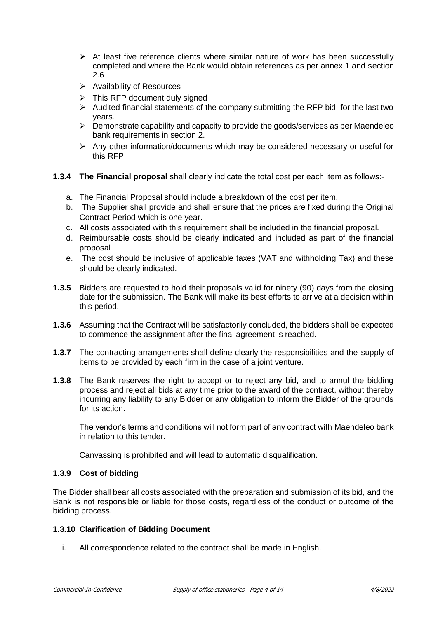- $\triangleright$  At least five reference clients where similar nature of work has been successfully completed and where the Bank would obtain references as per annex 1 and section 2.6
- $\triangleright$  Availability of Resources
- $\triangleright$  This RFP document duly signed
- $\triangleright$  Audited financial statements of the company submitting the RFP bid, for the last two years.
- $\triangleright$  Demonstrate capability and capacity to provide the goods/services as per Maendeleo bank requirements in section 2.
- $\triangleright$  Any other information/documents which may be considered necessary or useful for this RFP

## **1.3.4 The Financial proposal** shall clearly indicate the total cost per each item as follows:-

- a. The Financial Proposal should include a breakdown of the cost per item.
- b. The Supplier shall provide and shall ensure that the prices are fixed during the Original Contract Period which is one year.
- c. All costs associated with this requirement shall be included in the financial proposal.
- d. Reimbursable costs should be clearly indicated and included as part of the financial proposal
- e. The cost should be inclusive of applicable taxes (VAT and withholding Tax) and these should be clearly indicated.
- **1.3.5** Bidders are requested to hold their proposals valid for ninety (90) days from the closing date for the submission. The Bank will make its best efforts to arrive at a decision within this period.
- **1.3.6** Assuming that the Contract will be satisfactorily concluded, the bidders shall be expected to commence the assignment after the final agreement is reached.
- **1.3.7** The contracting arrangements shall define clearly the responsibilities and the supply of items to be provided by each firm in the case of a joint venture.
- **1.3.8** The Bank reserves the right to accept or to reject any bid, and to annul the bidding process and reject all bids at any time prior to the award of the contract, without thereby incurring any liability to any Bidder or any obligation to inform the Bidder of the grounds for its action.

The vendor's terms and conditions will not form part of any contract with Maendeleo bank in relation to this tender.

Canvassing is prohibited and will lead to automatic disqualification.

### **1.3.9 Cost of bidding**

The Bidder shall bear all costs associated with the preparation and submission of its bid, and the Bank is not responsible or liable for those costs, regardless of the conduct or outcome of the bidding process.

### **1.3.10 Clarification of Bidding Document**

i. All correspondence related to the contract shall be made in English.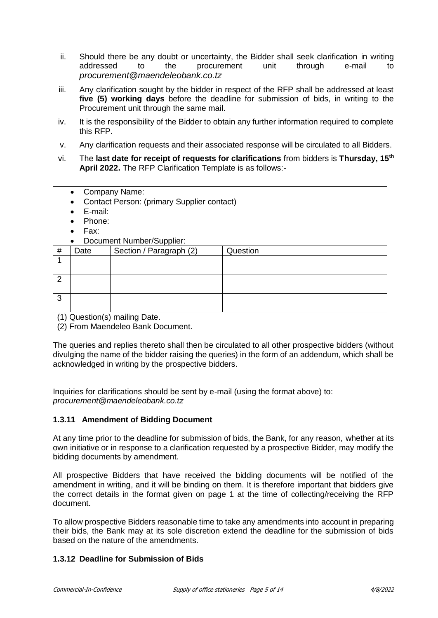- ii. Should there be any doubt or uncertainty, the Bidder shall seek clarification in writing addressed to the procurement unit through e-mail to *procurement@maendeleobank.co.tz*
- iii. Any clarification sought by the bidder in respect of the RFP shall be addressed at least **five (5) working days** before the deadline for submission of bids, in writing to the Procurement unit through the same mail.
- iv. It is the responsibility of the Bidder to obtain any further information required to complete this RFP.
- v. Any clarification requests and their associated response will be circulated to all Bidders.
- vi. The **last date for receipt of requests for clarifications** from bidders is **Thursday, 15th April 2022.** The RFP Clarification Template is as follows:-

| Company Name:<br>Contact Person: (primary Supplier contact)<br>E-mail:<br>Phone:<br>Fax: |                                   |                         |          |  |
|------------------------------------------------------------------------------------------|-----------------------------------|-------------------------|----------|--|
|                                                                                          | Document Number/Supplier:         |                         |          |  |
|                                                                                          |                                   |                         |          |  |
| #                                                                                        | Date                              | Section / Paragraph (2) | Question |  |
| 1                                                                                        |                                   |                         |          |  |
| $\overline{2}$                                                                           |                                   |                         |          |  |
| 3                                                                                        |                                   |                         |          |  |
|                                                                                          | (1) Question(s) mailing Date.     |                         |          |  |
|                                                                                          |                                   |                         |          |  |
|                                                                                          | (2) From Maendeleo Bank Document. |                         |          |  |
|                                                                                          |                                   |                         |          |  |

The queries and replies thereto shall then be circulated to all other prospective bidders (without divulging the name of the bidder raising the queries) in the form of an addendum, which shall be acknowledged in writing by the prospective bidders.

Inquiries for clarifications should be sent by e-mail (using the format above) to: *procurement@maendeleobank.co.tz*

### **1.3.11 Amendment of Bidding Document**

At any time prior to the deadline for submission of bids, the Bank, for any reason, whether at its own initiative or in response to a clarification requested by a prospective Bidder, may modify the bidding documents by amendment.

All prospective Bidders that have received the bidding documents will be notified of the amendment in writing, and it will be binding on them. It is therefore important that bidders give the correct details in the format given on page 1 at the time of collecting/receiving the RFP document.

To allow prospective Bidders reasonable time to take any amendments into account in preparing their bids, the Bank may at its sole discretion extend the deadline for the submission of bids based on the nature of the amendments.

### **1.3.12 Deadline for Submission of Bids**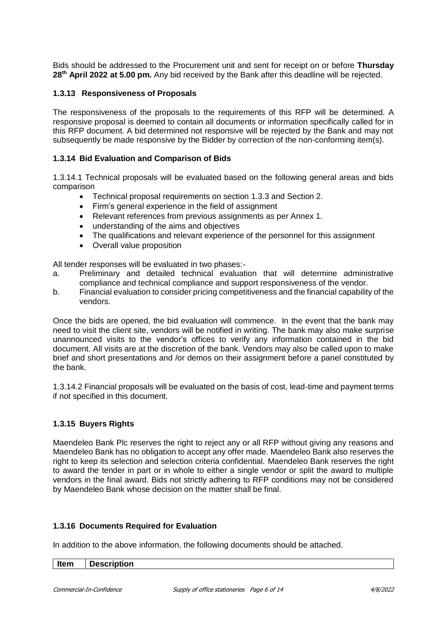Bids should be addressed to the Procurement unit and sent for receipt on or before **Thursday 28th April 2022 at 5.00 pm.** Any bid received by the Bank after this deadline will be rejected.

### **1.3.13 Responsiveness of Proposals**

The responsiveness of the proposals to the requirements of this RFP will be determined. A responsive proposal is deemed to contain all documents or information specifically called for in this RFP document. A bid determined not responsive will be rejected by the Bank and may not subsequently be made responsive by the Bidder by correction of the non-conforming item(s).

### **1.3.14 Bid Evaluation and Comparison of Bids**

1.3.14.1 Technical proposals will be evaluated based on the following general areas and bids comparison

- Technical proposal requirements on section 1.3.3 and Section 2.
- Firm's general experience in the field of assignment
- Relevant references from previous assignments as per Annex 1.
- understanding of the aims and objectives
- The qualifications and relevant experience of the personnel for this assignment
- Overall value proposition

All tender responses will be evaluated in two phases:-

- a. Preliminary and detailed technical evaluation that will determine administrative compliance and technical compliance and support responsiveness of the vendor.
- b. Financial evaluation to consider pricing competitiveness and the financial capability of the vendors.

Once the bids are opened, the bid evaluation will commence. In the event that the bank may need to visit the client site, vendors will be notified in writing. The bank may also make surprise unannounced visits to the vendor's offices to verify any information contained in the bid document. All visits are at the discretion of the bank. Vendors may also be called upon to make brief and short presentations and /or demos on their assignment before a panel constituted by the bank.

1.3.14.2 Financial proposals will be evaluated on the basis of cost, lead-time and payment terms if not specified in this document.

### **1.3.15 Buyers Rights**

Maendeleo Bank Plc reserves the right to reject any or all RFP without giving any reasons and Maendeleo Bank has no obligation to accept any offer made. Maendeleo Bank also reserves the right to keep its selection and selection criteria confidential. Maendeleo Bank reserves the right to award the tender in part or in whole to either a single vendor or split the award to multiple vendors in the final award. Bids not strictly adhering to RFP conditions may not be considered by Maendeleo Bank whose decision on the matter shall be final.

#### **1.3.16 Documents Required for Evaluation**

In addition to the above information, the following documents should be attached.

| $ $ Item | Description |
|----------|-------------|
|----------|-------------|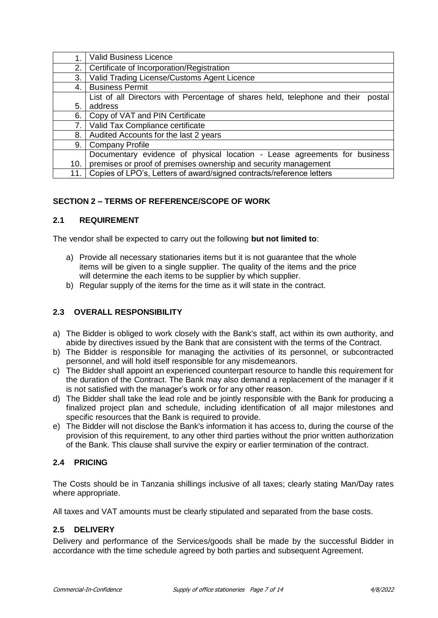|     | Valid Business Licence                                                              |
|-----|-------------------------------------------------------------------------------------|
| 2.  | Certificate of Incorporation/Registration                                           |
| 3.  | Valid Trading License/Customs Agent Licence                                         |
| 4.  | <b>Business Permit</b>                                                              |
|     | List of all Directors with Percentage of shares held, telephone and their<br>postal |
| 5.  | address                                                                             |
| 6.  | Copy of VAT and PIN Certificate                                                     |
| 7.  | Valid Tax Compliance certificate                                                    |
| 8.  | Audited Accounts for the last 2 years                                               |
| 9.  | <b>Company Profile</b>                                                              |
|     | Documentary evidence of physical location - Lease agreements for business           |
| 10. | premises or proof of premises ownership and security management                     |
| 11. | Copies of LPO's, Letters of award/signed contracts/reference letters                |

## **SECTION 2 – TERMS OF REFERENCE/SCOPE OF WORK**

### **2.1 REQUIREMENT**

The vendor shall be expected to carry out the following **but not limited to**:

- a) Provide all necessary stationaries items but it is not guarantee that the whole items will be given to a single supplier. The quality of the items and the price will determine the each items to be supplier by which supplier.
- b) Regular supply of the items for the time as it will state in the contract.

## **2.3 OVERALL RESPONSIBILITY**

- a) The Bidder is obliged to work closely with the Bank's staff, act within its own authority, and abide by directives issued by the Bank that are consistent with the terms of the Contract.
- b) The Bidder is responsible for managing the activities of its personnel, or subcontracted personnel, and will hold itself responsible for any misdemeanors.
- c) The Bidder shall appoint an experienced counterpart resource to handle this requirement for the duration of the Contract. The Bank may also demand a replacement of the manager if it is not satisfied with the manager's work or for any other reason.
- d) The Bidder shall take the lead role and be jointly responsible with the Bank for producing a finalized project plan and schedule, including identification of all major milestones and specific resources that the Bank is required to provide.
- e) The Bidder will not disclose the Bank's information it has access to, during the course of the provision of this requirement, to any other third parties without the prior written authorization of the Bank. This clause shall survive the expiry or earlier termination of the contract.

### **2.4 PRICING**

The Costs should be in Tanzania shillings inclusive of all taxes; clearly stating Man/Day rates where appropriate.

All taxes and VAT amounts must be clearly stipulated and separated from the base costs.

## **2.5 DELIVERY**

Delivery and performance of the Services/goods shall be made by the successful Bidder in accordance with the time schedule agreed by both parties and subsequent Agreement.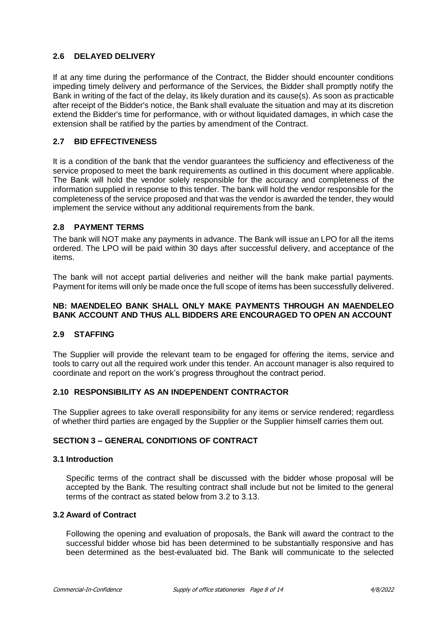### **2.6 DELAYED DELIVERY**

If at any time during the performance of the Contract, the Bidder should encounter conditions impeding timely delivery and performance of the Services, the Bidder shall promptly notify the Bank in writing of the fact of the delay, its likely duration and its cause(s). As soon as practicable after receipt of the Bidder's notice, the Bank shall evaluate the situation and may at its discretion extend the Bidder's time for performance, with or without liquidated damages, in which case the extension shall be ratified by the parties by amendment of the Contract.

### **2.7 BID EFFECTIVENESS**

It is a condition of the bank that the vendor guarantees the sufficiency and effectiveness of the service proposed to meet the bank requirements as outlined in this document where applicable. The Bank will hold the vendor solely responsible for the accuracy and completeness of the information supplied in response to this tender. The bank will hold the vendor responsible for the completeness of the service proposed and that was the vendor is awarded the tender, they would implement the service without any additional requirements from the bank.

### **2.8 PAYMENT TERMS**

The bank will NOT make any payments in advance. The Bank will issue an LPO for all the items ordered. The LPO will be paid within 30 days after successful delivery, and acceptance of the items.

The bank will not accept partial deliveries and neither will the bank make partial payments. Payment for items will only be made once the full scope of items has been successfully delivered.

### **NB: MAENDELEO BANK SHALL ONLY MAKE PAYMENTS THROUGH AN MAENDELEO BANK ACCOUNT AND THUS ALL BIDDERS ARE ENCOURAGED TO OPEN AN ACCOUNT**

#### **2.9 STAFFING**

The Supplier will provide the relevant team to be engaged for offering the items, service and tools to carry out all the required work under this tender. An account manager is also required to coordinate and report on the work's progress throughout the contract period.

### **2.10 RESPONSIBILITY AS AN INDEPENDENT CONTRACTOR**

The Supplier agrees to take overall responsibility for any items or service rendered; regardless of whether third parties are engaged by the Supplier or the Supplier himself carries them out.

### **SECTION 3 – GENERAL CONDITIONS OF CONTRACT**

#### **3.1 Introduction**

Specific terms of the contract shall be discussed with the bidder whose proposal will be accepted by the Bank. The resulting contract shall include but not be limited to the general terms of the contract as stated below from 3.2 to 3.13.

#### **3.2 Award of Contract**

Following the opening and evaluation of proposals, the Bank will award the contract to the successful bidder whose bid has been determined to be substantially responsive and has been determined as the best-evaluated bid. The Bank will communicate to the selected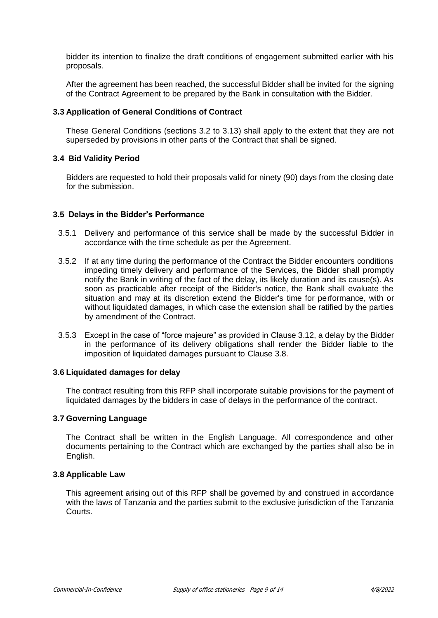bidder its intention to finalize the draft conditions of engagement submitted earlier with his proposals.

After the agreement has been reached, the successful Bidder shall be invited for the signing of the Contract Agreement to be prepared by the Bank in consultation with the Bidder.

#### **3.3 Application of General Conditions of Contract**

These General Conditions (sections 3.2 to 3.13) shall apply to the extent that they are not superseded by provisions in other parts of the Contract that shall be signed.

#### **3.4 Bid Validity Period**

Bidders are requested to hold their proposals valid for ninety (90) days from the closing date for the submission.

#### **3.5 Delays in the Bidder's Performance**

- 3.5.1 Delivery and performance of this service shall be made by the successful Bidder in accordance with the time schedule as per the Agreement.
- 3.5.2 If at any time during the performance of the Contract the Bidder encounters conditions impeding timely delivery and performance of the Services, the Bidder shall promptly notify the Bank in writing of the fact of the delay, its likely duration and its cause(s). As soon as practicable after receipt of the Bidder's notice, the Bank shall evaluate the situation and may at its discretion extend the Bidder's time for performance, with or without liquidated damages, in which case the extension shall be ratified by the parties by amendment of the Contract.
- 3.5.3 Except in the case of "force majeure" as provided in Clause 3.12, a delay by the Bidder in the performance of its delivery obligations shall render the Bidder liable to the imposition of liquidated damages pursuant to Clause 3.8.

#### **3.6 Liquidated damages for delay**

The contract resulting from this RFP shall incorporate suitable provisions for the payment of liquidated damages by the bidders in case of delays in the performance of the contract.

### **3.7 Governing Language**

The Contract shall be written in the English Language. All correspondence and other documents pertaining to the Contract which are exchanged by the parties shall also be in English.

#### **3.8 Applicable Law**

This agreement arising out of this RFP shall be governed by and construed in accordance with the laws of Tanzania and the parties submit to the exclusive jurisdiction of the Tanzania Courts.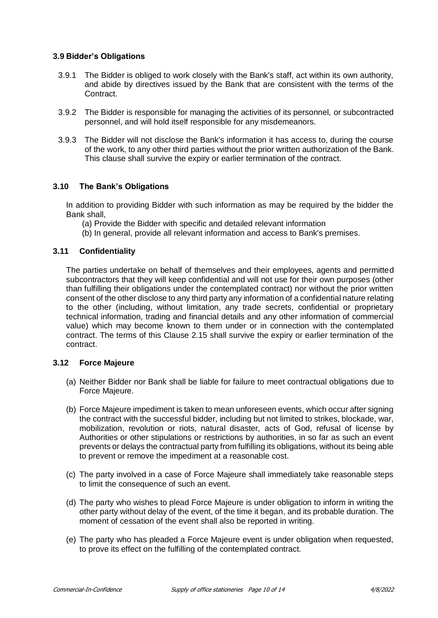### **3.9 Bidder's Obligations**

- 3.9.1 The Bidder is obliged to work closely with the Bank's staff, act within its own authority, and abide by directives issued by the Bank that are consistent with the terms of the Contract.
- 3.9.2 The Bidder is responsible for managing the activities of its personnel, or subcontracted personnel, and will hold itself responsible for any misdemeanors.
- 3.9.3 The Bidder will not disclose the Bank's information it has access to, during the course of the work, to any other third parties without the prior written authorization of the Bank. This clause shall survive the expiry or earlier termination of the contract.

## **3.10 The Bank's Obligations**

In addition to providing Bidder with such information as may be required by the bidder the Bank shall,

- (a) Provide the Bidder with specific and detailed relevant information
- (b) In general, provide all relevant information and access to Bank's premises.

### **3.11 Confidentiality**

The parties undertake on behalf of themselves and their employees, agents and permitted subcontractors that they will keep confidential and will not use for their own purposes (other than fulfilling their obligations under the contemplated contract) nor without the prior written consent of the other disclose to any third party any information of a confidential nature relating to the other (including, without limitation, any trade secrets, confidential or proprietary technical information, trading and financial details and any other information of commercial value) which may become known to them under or in connection with the contemplated contract. The terms of this Clause 2.15 shall survive the expiry or earlier termination of the contract.

### **3.12 Force Majeure**

- (a) Neither Bidder nor Bank shall be liable for failure to meet contractual obligations due to Force Majeure.
- (b) Force Majeure impediment is taken to mean unforeseen events, which occur after signing the contract with the successful bidder, including but not limited to strikes, blockade, war, mobilization, revolution or riots, natural disaster, acts of God, refusal of license by Authorities or other stipulations or restrictions by authorities, in so far as such an event prevents or delays the contractual party from fulfilling its obligations, without its being able to prevent or remove the impediment at a reasonable cost.
- (c) The party involved in a case of Force Majeure shall immediately take reasonable steps to limit the consequence of such an event.
- (d) The party who wishes to plead Force Majeure is under obligation to inform in writing the other party without delay of the event, of the time it began, and its probable duration. The moment of cessation of the event shall also be reported in writing.
- (e) The party who has pleaded a Force Majeure event is under obligation when requested, to prove its effect on the fulfilling of the contemplated contract.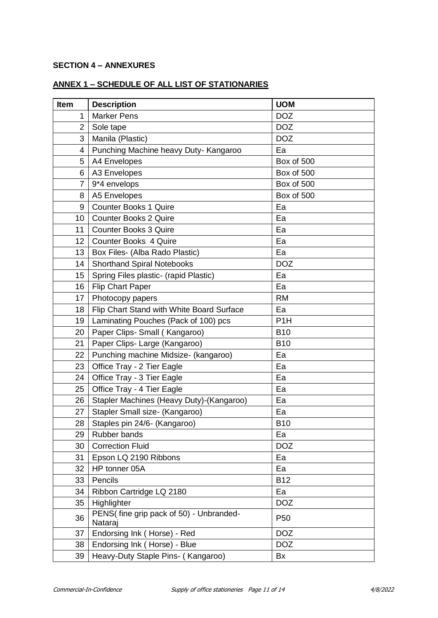### **SECTION 4 – ANNEXURES**

# **ANNEX 1 – SCHEDULE OF ALL LIST OF STATIONARIES**

| Item           | <b>Description</b>                                 | <b>UOM</b>       |
|----------------|----------------------------------------------------|------------------|
| 1              | <b>Marker Pens</b>                                 | <b>DOZ</b>       |
| $\overline{2}$ | Sole tape                                          | <b>DOZ</b>       |
| 3              | Manila (Plastic)                                   | <b>DOZ</b>       |
| 4              | Punching Machine heavy Duty- Kangaroo              | Ea               |
| 5              | A4 Envelopes                                       | Box of 500       |
| 6              | A3 Envelopes                                       | Box of 500       |
| $\overline{7}$ | 9*4 envelops                                       | Box of 500       |
| 8              | A5 Envelopes                                       | Box of 500       |
| 9              | <b>Counter Books 1 Quire</b>                       | Ea               |
| 10             | <b>Counter Books 2 Quire</b>                       | Ea               |
| 11             | <b>Counter Books 3 Quire</b>                       | Ea               |
| 12             | <b>Counter Books 4 Quire</b>                       | Ea               |
| 13             | Box Files- (Alba Rado Plastic)                     | Ea               |
| 14             | <b>Shorthand Spiral Notebooks</b>                  | <b>DOZ</b>       |
| 15             | Spring Files plastic- (rapid Plastic)              | Ea               |
| 16             | <b>Flip Chart Paper</b>                            | Ea               |
| 17             | Photocopy papers                                   | <b>RM</b>        |
| 18             | Flip Chart Stand with White Board Surface          | Ea               |
| 19             | Laminating Pouches (Pack of 100) pcs               | P <sub>1</sub> H |
| 20             | Paper Clips- Small (Kangaroo)                      | <b>B10</b>       |
| 21             | Paper Clips- Large (Kangaroo)                      | <b>B10</b>       |
| 22             | Punching machine Midsize- (kangaroo)               | Ea               |
| 23             | Office Tray - 2 Tier Eagle                         | Ea               |
| 24             | Office Tray - 3 Tier Eagle                         | Ea               |
| 25             | Office Tray - 4 Tier Eagle                         | Ea               |
| 26             | Stapler Machines (Heavy Duty)-(Kangaroo)           | Ea               |
| 27             | Stapler Small size- (Kangaroo)                     | Ea               |
| 28             | Staples pin 24/6- (Kangaroo)                       | <b>B10</b>       |
| 29             | Rubber bands                                       | Ea               |
| 30             | <b>Correction Fluid</b>                            | <b>DOZ</b>       |
| 31             | Epson LQ 2190 Ribbons                              | Ea               |
| 32             | HP tonner 05A                                      | Ea               |
| 33             | Pencils                                            | <b>B12</b>       |
| 34             | Ribbon Cartridge LQ 2180                           | Ea               |
| 35             | Highlighter                                        | <b>DOZ</b>       |
| 36             | PENS(fine grip pack of 50) - Unbranded-<br>Nataraj | P <sub>50</sub>  |
| 37             | Endorsing Ink (Horse) - Red                        | <b>DOZ</b>       |
| 38             | Endorsing Ink (Horse) - Blue                       | <b>DOZ</b>       |
| 39             | Heavy-Duty Staple Pins- (Kangaroo)                 | Bx               |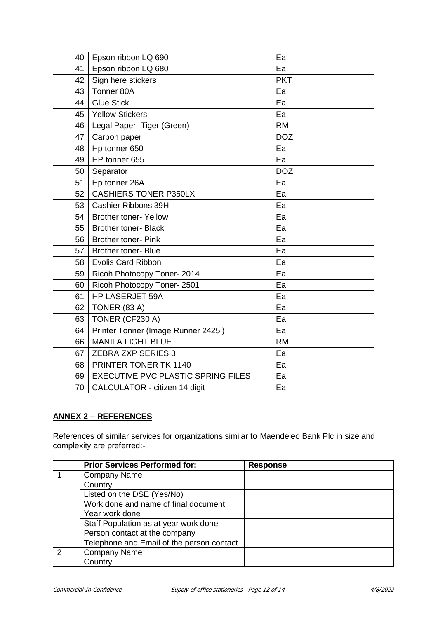| 40 | Epson ribbon LQ 690                       | Ea         |
|----|-------------------------------------------|------------|
| 41 | Epson ribbon LQ 680                       | Ea         |
| 42 | Sign here stickers                        | <b>PKT</b> |
| 43 | Tonner 80A                                | Ea         |
| 44 | <b>Glue Stick</b>                         | Ea         |
| 45 | <b>Yellow Stickers</b>                    | Ea         |
| 46 | Legal Paper- Tiger (Green)                | <b>RM</b>  |
| 47 | Carbon paper                              | <b>DOZ</b> |
| 48 | Hp tonner 650                             | Ea         |
| 49 | HP tonner 655                             | Ea         |
| 50 | Separator                                 | <b>DOZ</b> |
| 51 | Hp tonner 26A                             | Ea         |
| 52 | <b>CASHIERS TONER P350LX</b>              | Ea         |
| 53 | Cashier Ribbons 39H                       | Ea         |
| 54 | <b>Brother toner- Yellow</b>              | Ea         |
| 55 | <b>Brother toner- Black</b>               | Ea         |
| 56 | <b>Brother toner- Pink</b>                | Ea         |
| 57 | <b>Brother toner- Blue</b>                | Ea         |
| 58 | <b>Evolis Card Ribbon</b>                 | Ea         |
| 59 | Ricoh Photocopy Toner-2014                | Ea         |
| 60 | Ricoh Photocopy Toner-2501                | Ea         |
| 61 | HP LASERJET 59A                           | Ea         |
| 62 | TONER (83 A)                              | Ea         |
| 63 | TONER (CF230 A)                           | Ea         |
| 64 | Printer Tonner (Image Runner 2425i)       | Ea         |
| 66 | <b>MANILA LIGHT BLUE</b>                  | <b>RM</b>  |
| 67 | <b>ZEBRA ZXP SERIES 3</b>                 | Ea         |
| 68 | PRINTER TONER TK 1140                     | Ea         |
| 69 | <b>EXECUTIVE PVC PLASTIC SPRING FILES</b> | Ea         |
|    | 70   CALCULATOR - citizen 14 digit        | Ea         |

## **ANNEX 2 – REFERENCES**

References of similar services for organizations similar to Maendeleo Bank Plc in size and complexity are preferred:-

|               | <b>Prior Services Performed for:</b>      | <b>Response</b> |
|---------------|-------------------------------------------|-----------------|
|               | <b>Company Name</b>                       |                 |
|               | Country                                   |                 |
|               | Listed on the DSE (Yes/No)                |                 |
|               | Work done and name of final document      |                 |
|               | Year work done                            |                 |
|               | Staff Population as at year work done     |                 |
|               | Person contact at the company             |                 |
|               | Telephone and Email of the person contact |                 |
| $\mathcal{P}$ | <b>Company Name</b>                       |                 |
|               | Countrv                                   |                 |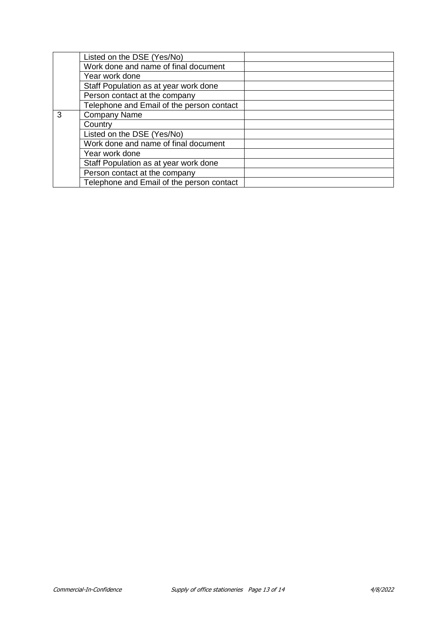|   | Listed on the DSE (Yes/No)                |  |
|---|-------------------------------------------|--|
|   | Work done and name of final document      |  |
|   | Year work done                            |  |
|   | Staff Population as at year work done     |  |
|   | Person contact at the company             |  |
|   | Telephone and Email of the person contact |  |
| 3 | <b>Company Name</b>                       |  |
|   | Country                                   |  |
|   | Listed on the DSE (Yes/No)                |  |
|   | Work done and name of final document      |  |
|   | Year work done                            |  |
|   | Staff Population as at year work done     |  |
|   | Person contact at the company             |  |
|   | Telephone and Email of the person contact |  |